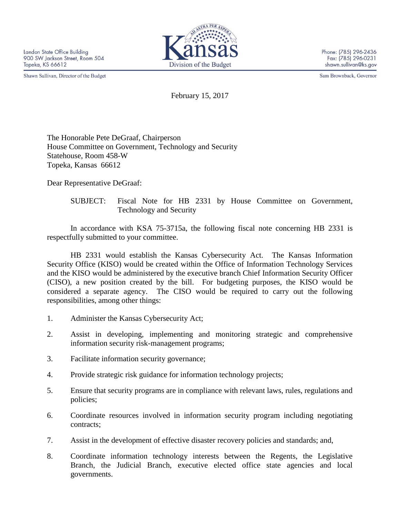Shawn Sullivan, Director of the Budget



Phone: (785) 296-2436 Fax: (785) 296-0231 shawn.sullivan@ks.gov

Sam Brownback, Governor

February 15, 2017

The Honorable Pete DeGraaf, Chairperson House Committee on Government, Technology and Security Statehouse, Room 458-W Topeka, Kansas 66612

Dear Representative DeGraaf:

SUBJECT: Fiscal Note for HB 2331 by House Committee on Government, Technology and Security

In accordance with KSA 75-3715a, the following fiscal note concerning HB 2331 is respectfully submitted to your committee.

HB 2331 would establish the Kansas Cybersecurity Act. The Kansas Information Security Office (KISO) would be created within the Office of Information Technology Services and the KISO would be administered by the executive branch Chief Information Security Officer (CISO), a new position created by the bill. For budgeting purposes, the KISO would be considered a separate agency. The CISO would be required to carry out the following responsibilities, among other things:

- 1. Administer the Kansas Cybersecurity Act;
- 2. Assist in developing, implementing and monitoring strategic and comprehensive information security risk-management programs;
- 3. Facilitate information security governance;
- 4. Provide strategic risk guidance for information technology projects;
- 5. Ensure that security programs are in compliance with relevant laws, rules, regulations and policies;
- 6. Coordinate resources involved in information security program including negotiating contracts;
- 7. Assist in the development of effective disaster recovery policies and standards; and,
- 8. Coordinate information technology interests between the Regents, the Legislative Branch, the Judicial Branch, executive elected office state agencies and local governments.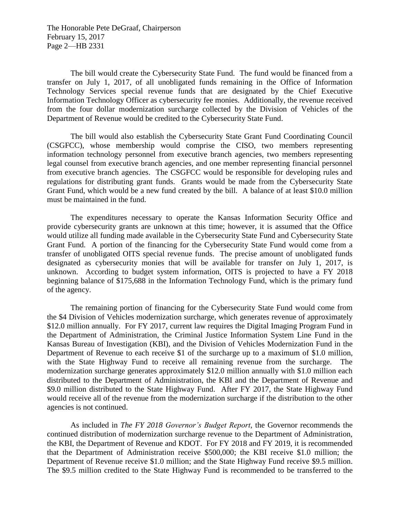The Honorable Pete DeGraaf, Chairperson February 15, 2017 Page 2—HB 2331

The bill would create the Cybersecurity State Fund. The fund would be financed from a transfer on July 1, 2017, of all unobligated funds remaining in the Office of Information Technology Services special revenue funds that are designated by the Chief Executive Information Technology Officer as cybersecurity fee monies. Additionally, the revenue received from the four dollar modernization surcharge collected by the Division of Vehicles of the Department of Revenue would be credited to the Cybersecurity State Fund.

The bill would also establish the Cybersecurity State Grant Fund Coordinating Council (CSGFCC), whose membership would comprise the CISO, two members representing information technology personnel from executive branch agencies, two members representing legal counsel from executive branch agencies, and one member representing financial personnel from executive branch agencies. The CSGFCC would be responsible for developing rules and regulations for distributing grant funds. Grants would be made from the Cybersecurity State Grant Fund, which would be a new fund created by the bill. A balance of at least \$10.0 million must be maintained in the fund.

The expenditures necessary to operate the Kansas Information Security Office and provide cybersecurity grants are unknown at this time; however, it is assumed that the Office would utilize all funding made available in the Cybersecurity State Fund and Cybersecurity State Grant Fund. A portion of the financing for the Cybersecurity State Fund would come from a transfer of unobligated OITS special revenue funds. The precise amount of unobligated funds designated as cybersecurity monies that will be available for transfer on July 1, 2017, is unknown. According to budget system information, OITS is projected to have a FY 2018 beginning balance of \$175,688 in the Information Technology Fund, which is the primary fund of the agency.

The remaining portion of financing for the Cybersecurity State Fund would come from the \$4 Division of Vehicles modernization surcharge, which generates revenue of approximately \$12.0 million annually. For FY 2017, current law requires the Digital Imaging Program Fund in the Department of Administration, the Criminal Justice Information System Line Fund in the Kansas Bureau of Investigation (KBI), and the Division of Vehicles Modernization Fund in the Department of Revenue to each receive \$1 of the surcharge up to a maximum of \$1.0 million, with the State Highway Fund to receive all remaining revenue from the surcharge. The modernization surcharge generates approximately \$12.0 million annually with \$1.0 million each distributed to the Department of Administration, the KBI and the Department of Revenue and \$9.0 million distributed to the State Highway Fund. After FY 2017, the State Highway Fund would receive all of the revenue from the modernization surcharge if the distribution to the other agencies is not continued.

As included in *The FY 2018 Governor's Budget Report*, the Governor recommends the continued distribution of modernization surcharge revenue to the Department of Administration, the KBI, the Department of Revenue and KDOT. For FY 2018 and FY 2019, it is recommended that the Department of Administration receive \$500,000; the KBI receive \$1.0 million; the Department of Revenue receive \$1.0 million; and the State Highway Fund receive \$9.5 million. The \$9.5 million credited to the State Highway Fund is recommended to be transferred to the